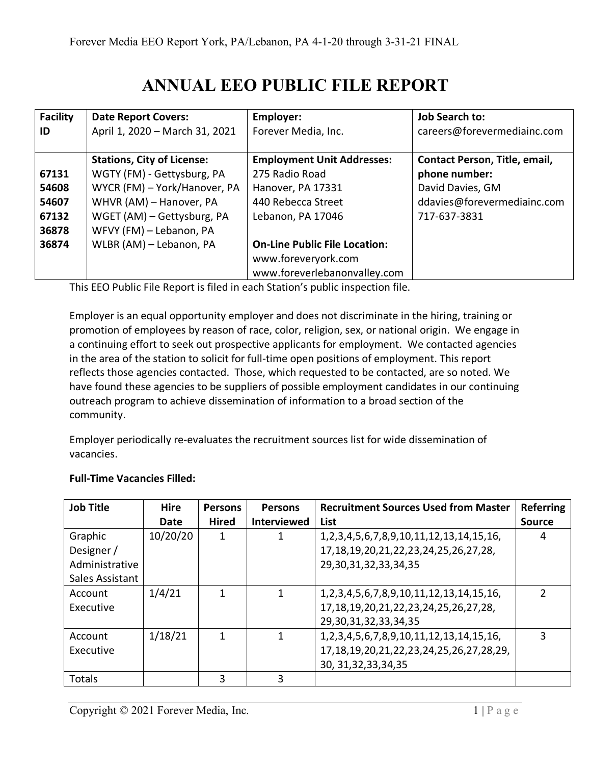## **ANNUAL EEO PUBLIC FILE REPORT**

| <b>Facility</b> | <b>Date Report Covers:</b>        | Employer:                            | <b>Job Search to:</b>                |
|-----------------|-----------------------------------|--------------------------------------|--------------------------------------|
| ID              | April 1, 2020 - March 31, 2021    | Forever Media, Inc.                  | careers@forevermediainc.com          |
|                 | <b>Stations, City of License:</b> | <b>Employment Unit Addresses:</b>    | <b>Contact Person, Title, email,</b> |
| 67131           | WGTY (FM) - Gettysburg, PA        | 275 Radio Road                       | phone number:                        |
| 54608           | WYCR (FM) - York/Hanover, PA      | Hanover, PA 17331                    | David Davies, GM                     |
| 54607           | WHVR (AM) - Hanover, PA           | 440 Rebecca Street                   | ddavies@forevermediainc.com          |
| 67132           | WGET (AM) - Gettysburg, PA        | Lebanon, PA 17046                    | 717-637-3831                         |
| 36878           | WFVY (FM) - Lebanon, PA           |                                      |                                      |
| 36874           | WLBR (AM) - Lebanon, PA           | <b>On-Line Public File Location:</b> |                                      |
|                 |                                   | www.foreveryork.com                  |                                      |
|                 |                                   | www.foreverlebanonvalley.com         |                                      |

This EEO Public File Report is filed in each Station's public inspection file.

Employer is an equal opportunity employer and does not discriminate in the hiring, training or promotion of employees by reason of race, color, religion, sex, or national origin. We engage in a continuing effort to seek out prospective applicants for employment. We contacted agencies in the area of the station to solicit for full-time open positions of employment. This report reflects those agencies contacted. Those, which requested to be contacted, are so noted. We have found these agencies to be suppliers of possible employment candidates in our continuing outreach program to achieve dissemination of information to a broad section of the community.

Employer periodically re-evaluates the recruitment sources list for wide dissemination of vacancies.

| <b>Job Title</b> | <b>Hire</b><br>Date | <b>Persons</b><br><b>Hired</b> | <b>Persons</b><br><b>Interviewed</b> | <b>Recruitment Sources Used from Master</b><br>List    | <b>Referring</b><br><b>Source</b> |
|------------------|---------------------|--------------------------------|--------------------------------------|--------------------------------------------------------|-----------------------------------|
| Graphic          | 10/20/20            |                                |                                      | 1, 2, 3, 4, 5, 6, 7, 8, 9, 10, 11, 12, 13, 14, 15, 16, | 4                                 |
| Designer /       |                     |                                |                                      | 17, 18, 19, 20, 21, 22, 23, 24, 25, 26, 27, 28,        |                                   |
| Administrative   |                     |                                |                                      | 29, 30, 31, 32, 33, 34, 35                             |                                   |
| Sales Assistant  |                     |                                |                                      |                                                        |                                   |
| Account          | 1/4/21              |                                | 1                                    | 1, 2, 3, 4, 5, 6, 7, 8, 9, 10, 11, 12, 13, 14, 15, 16, | $\mathcal{P}$                     |
| Executive        |                     |                                |                                      | 17, 18, 19, 20, 21, 22, 23, 24, 25, 26, 27, 28,        |                                   |
|                  |                     |                                |                                      | 29, 30, 31, 32, 33, 34, 35                             |                                   |
| Account          | 1/18/21             | 1                              |                                      | 1, 2, 3, 4, 5, 6, 7, 8, 9, 10, 11, 12, 13, 14, 15, 16, | 3                                 |
| Executive        |                     |                                |                                      | 17, 18, 19, 20, 21, 22, 23, 24, 25, 26, 27, 28, 29,    |                                   |
|                  |                     |                                |                                      | 30, 31, 32, 33, 34, 35                                 |                                   |
| <b>Totals</b>    |                     | 3                              | 3                                    |                                                        |                                   |

## **Full-Time Vacancies Filled:**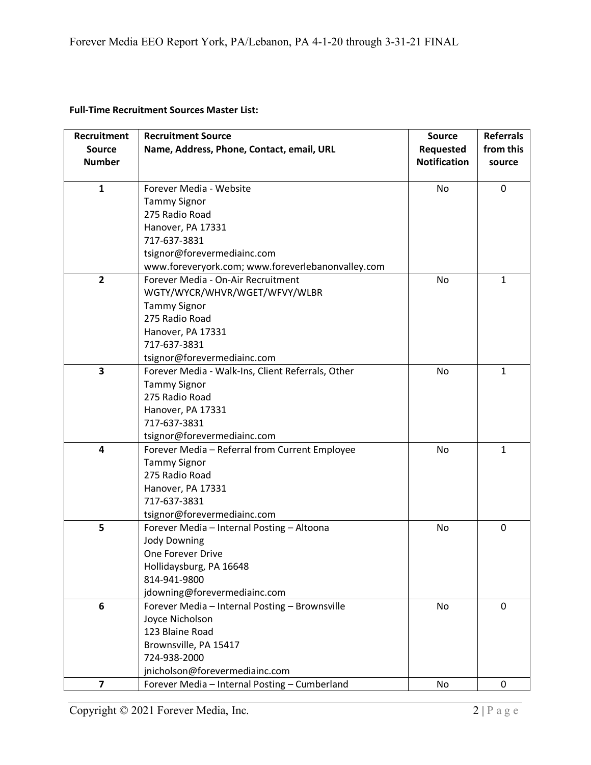## **Full-Time Recruitment Sources Master List:**

| <b>Recruitment</b>      | <b>Recruitment Source</b>                         | <b>Source</b>       | <b>Referrals</b> |
|-------------------------|---------------------------------------------------|---------------------|------------------|
| <b>Source</b>           | Name, Address, Phone, Contact, email, URL         | Requested           | from this        |
| <b>Number</b>           |                                                   | <b>Notification</b> | source           |
|                         |                                                   |                     |                  |
| $\mathbf{1}$            | Forever Media - Website                           | No                  | $\mathbf 0$      |
|                         | <b>Tammy Signor</b>                               |                     |                  |
|                         | 275 Radio Road                                    |                     |                  |
|                         | Hanover, PA 17331                                 |                     |                  |
|                         | 717-637-3831                                      |                     |                  |
|                         | tsignor@forevermediainc.com                       |                     |                  |
|                         | www.foreveryork.com; www.foreverlebanonvalley.com |                     |                  |
| $\overline{2}$          | Forever Media - On-Air Recruitment                | No                  | $\mathbf{1}$     |
|                         | WGTY/WYCR/WHVR/WGET/WFVY/WLBR                     |                     |                  |
|                         | <b>Tammy Signor</b>                               |                     |                  |
|                         | 275 Radio Road                                    |                     |                  |
|                         | Hanover, PA 17331                                 |                     |                  |
|                         | 717-637-3831                                      |                     |                  |
|                         | tsignor@forevermediainc.com                       |                     |                  |
| $\overline{\mathbf{3}}$ | Forever Media - Walk-Ins, Client Referrals, Other | <b>No</b>           | $\mathbf 1$      |
|                         | <b>Tammy Signor</b>                               |                     |                  |
|                         | 275 Radio Road                                    |                     |                  |
|                         | Hanover, PA 17331                                 |                     |                  |
|                         | 717-637-3831                                      |                     |                  |
|                         | tsignor@forevermediainc.com                       |                     |                  |
| 4                       | Forever Media - Referral from Current Employee    | No                  | $\mathbf{1}$     |
|                         | <b>Tammy Signor</b>                               |                     |                  |
|                         | 275 Radio Road                                    |                     |                  |
|                         | Hanover, PA 17331                                 |                     |                  |
|                         | 717-637-3831                                      |                     |                  |
|                         | tsignor@forevermediainc.com                       |                     |                  |
| 5                       | Forever Media - Internal Posting - Altoona        | No                  | $\mathbf 0$      |
|                         | <b>Jody Downing</b>                               |                     |                  |
|                         | One Forever Drive                                 |                     |                  |
|                         | Hollidaysburg, PA 16648                           |                     |                  |
|                         | 814-941-9800                                      |                     |                  |
|                         | jdowning@forevermediainc.com                      |                     |                  |
| 6                       | Forever Media - Internal Posting - Brownsville    | No                  | $\mathbf{0}$     |
|                         | Joyce Nicholson                                   |                     |                  |
|                         | 123 Blaine Road                                   |                     |                  |
|                         | Brownsville, PA 15417                             |                     |                  |
|                         | 724-938-2000                                      |                     |                  |
|                         | jnicholson@forevermediainc.com                    |                     |                  |
| $\overline{\mathbf{z}}$ | Forever Media - Internal Posting - Cumberland     | No                  | 0                |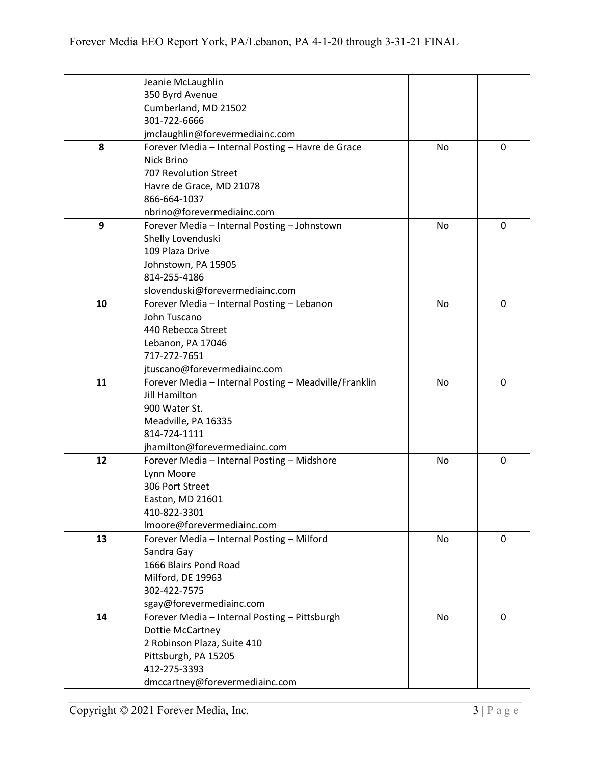|    | Jeanie McLaughlin                                     |           |              |
|----|-------------------------------------------------------|-----------|--------------|
|    | 350 Byrd Avenue                                       |           |              |
|    | Cumberland, MD 21502                                  |           |              |
|    | 301-722-6666                                          |           |              |
|    | jmclaughlin@forevermediainc.com                       |           |              |
| 8  | Forever Media - Internal Posting - Havre de Grace     | <b>No</b> | 0            |
|    | Nick Brino                                            |           |              |
|    | <b>707 Revolution Street</b>                          |           |              |
|    | Havre de Grace, MD 21078                              |           |              |
|    | 866-664-1037                                          |           |              |
|    | nbrino@forevermediainc.com                            |           |              |
| 9  | Forever Media - Internal Posting - Johnstown          | No        | 0            |
|    | Shelly Lovenduski                                     |           |              |
|    | 109 Plaza Drive                                       |           |              |
|    | Johnstown, PA 15905                                   |           |              |
|    | 814-255-4186                                          |           |              |
|    | slovenduski@forevermediainc.com                       |           |              |
| 10 | Forever Media - Internal Posting - Lebanon            | No        | 0            |
|    | John Tuscano                                          |           |              |
|    | 440 Rebecca Street                                    |           |              |
|    | Lebanon, PA 17046                                     |           |              |
|    | 717-272-7651                                          |           |              |
|    | jtuscano@forevermediainc.com                          |           |              |
| 11 | Forever Media - Internal Posting - Meadville/Franklin | No        | 0            |
|    | <b>Jill Hamilton</b>                                  |           |              |
|    | 900 Water St.                                         |           |              |
|    | Meadville, PA 16335                                   |           |              |
|    | 814-724-1111                                          |           |              |
|    | jhamilton@forevermediainc.com                         |           |              |
| 12 | Forever Media - Internal Posting - Midshore           | No        | 0            |
|    | Lynn Moore                                            |           |              |
|    | 306 Port Street                                       |           |              |
|    | Easton, MD 21601                                      |           |              |
|    | 410-822-3301                                          |           |              |
|    | Imoore@forevermediainc.com                            |           |              |
| 13 | Forever Media - Internal Posting - Milford            | No        | 0            |
|    | Sandra Gay                                            |           |              |
|    | 1666 Blairs Pond Road                                 |           |              |
|    | Milford, DE 19963                                     |           |              |
|    | 302-422-7575                                          |           |              |
|    | sgay@forevermediainc.com                              |           |              |
| 14 | Forever Media - Internal Posting - Pittsburgh         | No        | $\mathbf{0}$ |
|    | Dottie McCartney                                      |           |              |
|    | 2 Robinson Plaza, Suite 410                           |           |              |
|    | Pittsburgh, PA 15205                                  |           |              |
|    | 412-275-3393                                          |           |              |
|    | dmccartney@forevermediainc.com                        |           |              |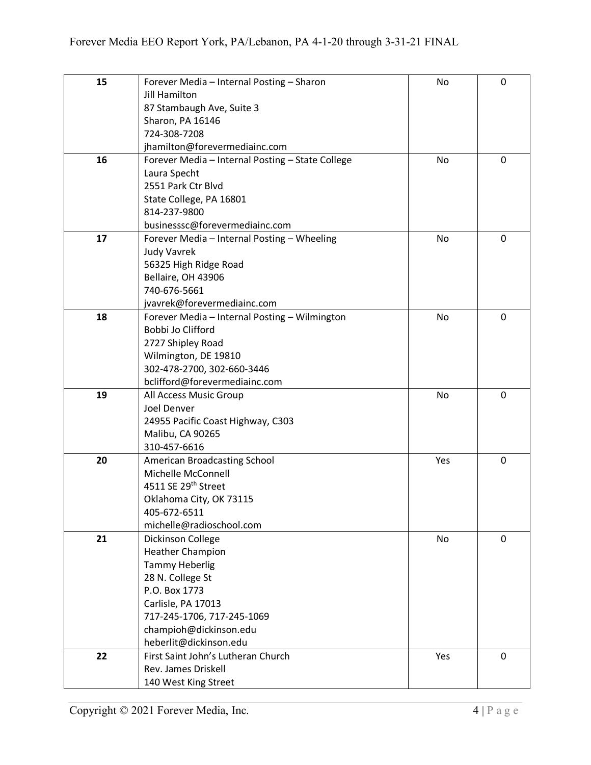| 15 | Forever Media - Internal Posting - Sharon        | No        | 0           |
|----|--------------------------------------------------|-----------|-------------|
|    | Jill Hamilton                                    |           |             |
|    | 87 Stambaugh Ave, Suite 3                        |           |             |
|    | Sharon, PA 16146                                 |           |             |
|    | 724-308-7208                                     |           |             |
|    | jhamilton@forevermediainc.com                    |           |             |
| 16 | Forever Media - Internal Posting - State College | No        | 0           |
|    | Laura Specht                                     |           |             |
|    | 2551 Park Ctr Blvd                               |           |             |
|    | State College, PA 16801                          |           |             |
|    | 814-237-9800                                     |           |             |
|    | businesssc@forevermediainc.com                   |           |             |
| 17 | Forever Media - Internal Posting - Wheeling      | No        | 0           |
|    | <b>Judy Vavrek</b>                               |           |             |
|    | 56325 High Ridge Road                            |           |             |
|    | Bellaire, OH 43906                               |           |             |
|    | 740-676-5661                                     |           |             |
|    | jvavrek@forevermediainc.com                      |           |             |
| 18 | Forever Media - Internal Posting - Wilmington    | <b>No</b> | $\mathbf 0$ |
|    | Bobbi Jo Clifford                                |           |             |
|    | 2727 Shipley Road                                |           |             |
|    | Wilmington, DE 19810                             |           |             |
|    | 302-478-2700, 302-660-3446                       |           |             |
|    | bclifford@forevermediainc.com                    |           |             |
| 19 | All Access Music Group                           | <b>No</b> | 0           |
|    | Joel Denver                                      |           |             |
|    | 24955 Pacific Coast Highway, C303                |           |             |
|    | Malibu, CA 90265                                 |           |             |
|    | 310-457-6616                                     |           |             |
| 20 | American Broadcasting School                     | Yes       | $\mathbf 0$ |
|    | Michelle McConnell                               |           |             |
|    | 4511 SE 29th Street                              |           |             |
|    | Oklahoma City, OK 73115                          |           |             |
|    | 405-672-6511                                     |           |             |
|    | michelle@radioschool.com                         |           |             |
| 21 | Dickinson College                                | No        | 0           |
|    | <b>Heather Champion</b>                          |           |             |
|    | <b>Tammy Heberlig</b>                            |           |             |
|    | 28 N. College St                                 |           |             |
|    | P.O. Box 1773                                    |           |             |
|    | Carlisle, PA 17013                               |           |             |
|    | 717-245-1706, 717-245-1069                       |           |             |
|    | champioh@dickinson.edu                           |           |             |
|    | heberlit@dickinson.edu                           |           |             |
| 22 | First Saint John's Lutheran Church               | Yes       | $\mathbf 0$ |
|    | Rev. James Driskell                              |           |             |
|    | 140 West King Street                             |           |             |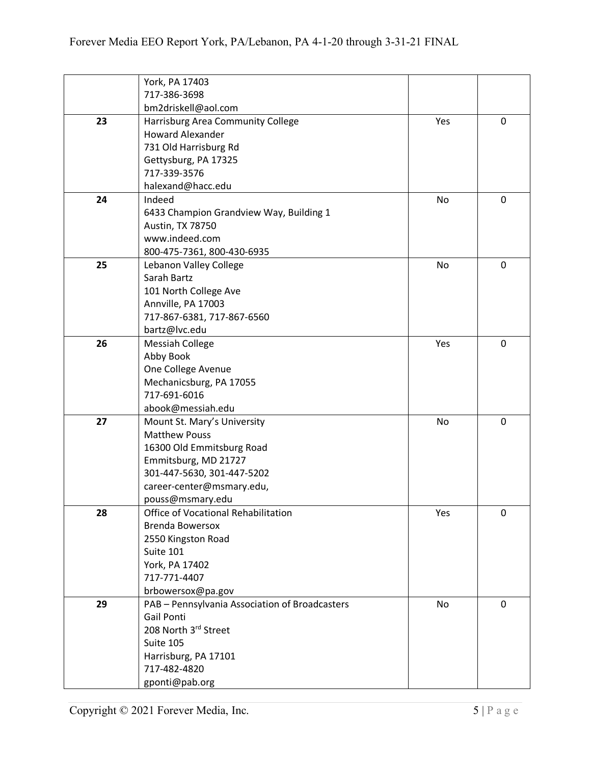|    | York, PA 17403                                 |     |             |
|----|------------------------------------------------|-----|-------------|
|    | 717-386-3698                                   |     |             |
|    | bm2driskell@aol.com                            |     |             |
| 23 | Harrisburg Area Community College              | Yes | 0           |
|    | <b>Howard Alexander</b>                        |     |             |
|    | 731 Old Harrisburg Rd                          |     |             |
|    | Gettysburg, PA 17325                           |     |             |
|    | 717-339-3576                                   |     |             |
|    | halexand@hacc.edu                              |     |             |
| 24 | Indeed                                         | No  | 0           |
|    | 6433 Champion Grandview Way, Building 1        |     |             |
|    | Austin, TX 78750                               |     |             |
|    | www.indeed.com                                 |     |             |
|    | 800-475-7361, 800-430-6935                     |     |             |
| 25 | Lebanon Valley College                         | No  | 0           |
|    | Sarah Bartz                                    |     |             |
|    | 101 North College Ave                          |     |             |
|    | Annville, PA 17003                             |     |             |
|    | 717-867-6381, 717-867-6560                     |     |             |
|    | bartz@lvc.edu                                  |     |             |
| 26 | <b>Messiah College</b>                         | Yes | $\mathbf 0$ |
|    | Abby Book                                      |     |             |
|    | One College Avenue                             |     |             |
|    | Mechanicsburg, PA 17055                        |     |             |
|    | 717-691-6016                                   |     |             |
|    | abook@messiah.edu                              |     |             |
| 27 | Mount St. Mary's University                    | No  | 0           |
|    | <b>Matthew Pouss</b>                           |     |             |
|    | 16300 Old Emmitsburg Road                      |     |             |
|    | Emmitsburg, MD 21727                           |     |             |
|    | 301-447-5630, 301-447-5202                     |     |             |
|    | career-center@msmary.edu,                      |     |             |
|    | pouss@msmary.edu                               |     |             |
| 28 | Office of Vocational Rehabilitation            | Yes | 0           |
|    | <b>Brenda Bowersox</b>                         |     |             |
|    | 2550 Kingston Road                             |     |             |
|    | Suite 101                                      |     |             |
|    | York, PA 17402                                 |     |             |
|    | 717-771-4407                                   |     |             |
|    | brbowersox@pa.gov                              |     |             |
| 29 | PAB - Pennsylvania Association of Broadcasters | No  | $\mathbf 0$ |
|    | Gail Ponti                                     |     |             |
|    | 208 North 3rd Street                           |     |             |
|    | Suite 105                                      |     |             |
|    | Harrisburg, PA 17101                           |     |             |
|    | 717-482-4820                                   |     |             |
|    | gponti@pab.org                                 |     |             |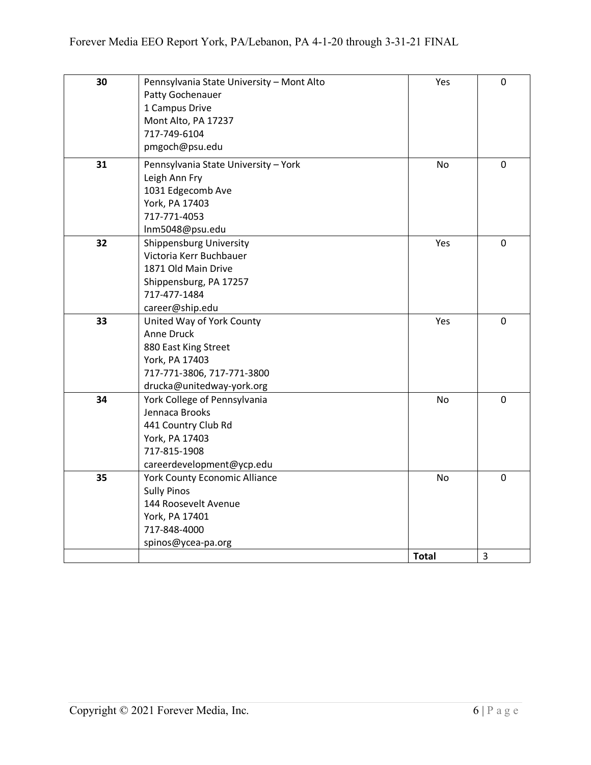| 30 | Pennsylvania State University - Mont Alto | Yes          | $\mathbf 0$ |
|----|-------------------------------------------|--------------|-------------|
|    | Patty Gochenauer                          |              |             |
|    | 1 Campus Drive                            |              |             |
|    | Mont Alto, PA 17237                       |              |             |
|    | 717-749-6104                              |              |             |
|    | pmgoch@psu.edu                            |              |             |
| 31 | Pennsylvania State University - York      | <b>No</b>    | $\mathbf 0$ |
|    | Leigh Ann Fry                             |              |             |
|    | 1031 Edgecomb Ave                         |              |             |
|    | York, PA 17403                            |              |             |
|    | 717-771-4053                              |              |             |
|    | Inm5048@psu.edu                           |              |             |
| 32 | <b>Shippensburg University</b>            | Yes          | $\mathbf 0$ |
|    | Victoria Kerr Buchbauer                   |              |             |
|    | 1871 Old Main Drive                       |              |             |
|    | Shippensburg, PA 17257                    |              |             |
|    | 717-477-1484                              |              |             |
|    | career@ship.edu                           |              |             |
| 33 | United Way of York County                 | Yes          | $\mathbf 0$ |
|    | Anne Druck                                |              |             |
|    | 880 East King Street                      |              |             |
|    | York, PA 17403                            |              |             |
|    | 717-771-3806, 717-771-3800                |              |             |
|    | drucka@unitedway-york.org                 |              |             |
| 34 | York College of Pennsylvania              | <b>No</b>    | $\mathbf 0$ |
|    | Jennaca Brooks                            |              |             |
|    | 441 Country Club Rd                       |              |             |
|    | York, PA 17403                            |              |             |
|    | 717-815-1908                              |              |             |
|    | careerdevelopment@ycp.edu                 |              |             |
| 35 | <b>York County Economic Alliance</b>      | <b>No</b>    | $\mathbf 0$ |
|    | <b>Sully Pinos</b>                        |              |             |
|    | 144 Roosevelt Avenue                      |              |             |
|    | York, PA 17401                            |              |             |
|    | 717-848-4000                              |              |             |
|    | spinos@ycea-pa.org                        |              |             |
|    |                                           | <b>Total</b> | 3           |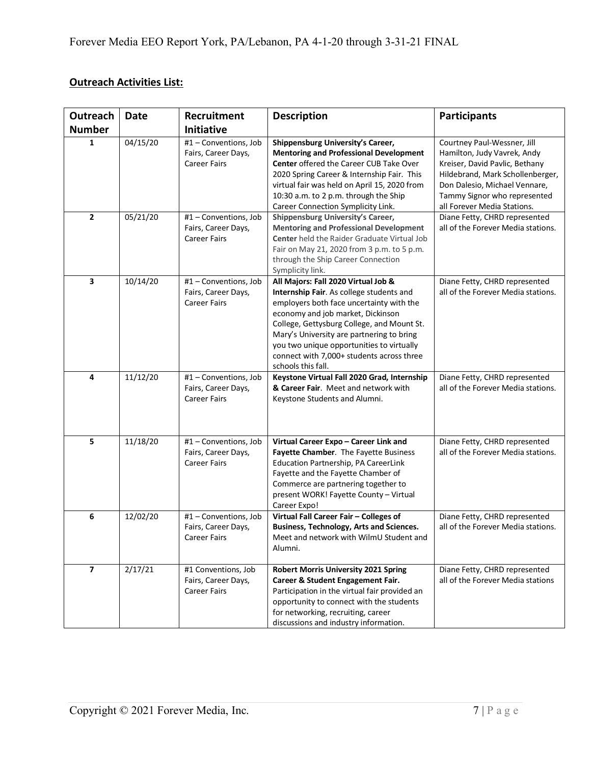## **Outreach Activities List:**

| Outreach                | Date     | Recruitment                                                         | <b>Description</b>                                                                                                                                                                                                                                                                                                                                                          | <b>Participants</b>                                                                                                                                                                                                              |
|-------------------------|----------|---------------------------------------------------------------------|-----------------------------------------------------------------------------------------------------------------------------------------------------------------------------------------------------------------------------------------------------------------------------------------------------------------------------------------------------------------------------|----------------------------------------------------------------------------------------------------------------------------------------------------------------------------------------------------------------------------------|
| <b>Number</b>           |          | Initiative                                                          |                                                                                                                                                                                                                                                                                                                                                                             |                                                                                                                                                                                                                                  |
| 1                       | 04/15/20 | #1 - Conventions, Job<br>Fairs, Career Days,<br><b>Career Fairs</b> | Shippensburg University's Career,<br><b>Mentoring and Professional Development</b><br><b>Center offered the Career CUB Take Over</b><br>2020 Spring Career & Internship Fair. This<br>virtual fair was held on April 15, 2020 from<br>10:30 a.m. to 2 p.m. through the Ship<br>Career Connection Symplicity Link.                                                           | Courtney Paul-Wessner, Jill<br>Hamilton, Judy Vavrek, Andy<br>Kreiser, David Pavlic, Bethany<br>Hildebrand, Mark Schollenberger,<br>Don Dalesio, Michael Vennare,<br>Tammy Signor who represented<br>all Forever Media Stations. |
| $\mathbf{2}$            | 05/21/20 | #1 - Conventions, Job<br>Fairs, Career Days,<br><b>Career Fairs</b> | Shippensburg University's Career,<br><b>Mentoring and Professional Development</b><br>Center held the Raider Graduate Virtual Job<br>Fair on May 21, 2020 from 3 p.m. to 5 p.m.<br>through the Ship Career Connection<br>Symplicity link.                                                                                                                                   | Diane Fetty, CHRD represented<br>all of the Forever Media stations.                                                                                                                                                              |
| 3                       | 10/14/20 | #1 - Conventions, Job<br>Fairs, Career Days,<br><b>Career Fairs</b> | All Majors: Fall 2020 Virtual Job &<br>Internship Fair. As college students and<br>employers both face uncertainty with the<br>economy and job market, Dickinson<br>College, Gettysburg College, and Mount St.<br>Mary's University are partnering to bring<br>you two unique opportunities to virtually<br>connect with 7,000+ students across three<br>schools this fall. | Diane Fetty, CHRD represented<br>all of the Forever Media stations.                                                                                                                                                              |
| 4                       | 11/12/20 | #1 - Conventions, Job<br>Fairs, Career Days,<br><b>Career Fairs</b> | Keystone Virtual Fall 2020 Grad, Internship<br>& Career Fair. Meet and network with<br>Keystone Students and Alumni.                                                                                                                                                                                                                                                        | Diane Fetty, CHRD represented<br>all of the Forever Media stations.                                                                                                                                                              |
| 5                       | 11/18/20 | #1 - Conventions, Job<br>Fairs, Career Days,<br><b>Career Fairs</b> | Virtual Career Expo - Career Link and<br>Fayette Chamber. The Fayette Business<br>Education Partnership, PA CareerLink<br>Fayette and the Fayette Chamber of<br>Commerce are partnering together to<br>present WORK! Fayette County - Virtual<br>Career Expo!                                                                                                               | Diane Fetty, CHRD represented<br>all of the Forever Media stations.                                                                                                                                                              |
| 6                       | 12/02/20 | #1 - Conventions, Job<br>Fairs, Career Days,<br>Career Fairs        | Virtual Fall Career Fair - Colleges of<br><b>Business, Technology, Arts and Sciences.</b><br>Meet and network with WilmU Student and<br>Alumni.                                                                                                                                                                                                                             | Diane Fetty, CHRD represented<br>all of the Forever Media stations.                                                                                                                                                              |
| $\overline{\mathbf{z}}$ | 2/17/21  | #1 Conventions, Job<br>Fairs, Career Days,<br><b>Career Fairs</b>   | <b>Robert Morris University 2021 Spring</b><br>Career & Student Engagement Fair.<br>Participation in the virtual fair provided an<br>opportunity to connect with the students<br>for networking, recruiting, career<br>discussions and industry information.                                                                                                                | Diane Fetty, CHRD represented<br>all of the Forever Media stations                                                                                                                                                               |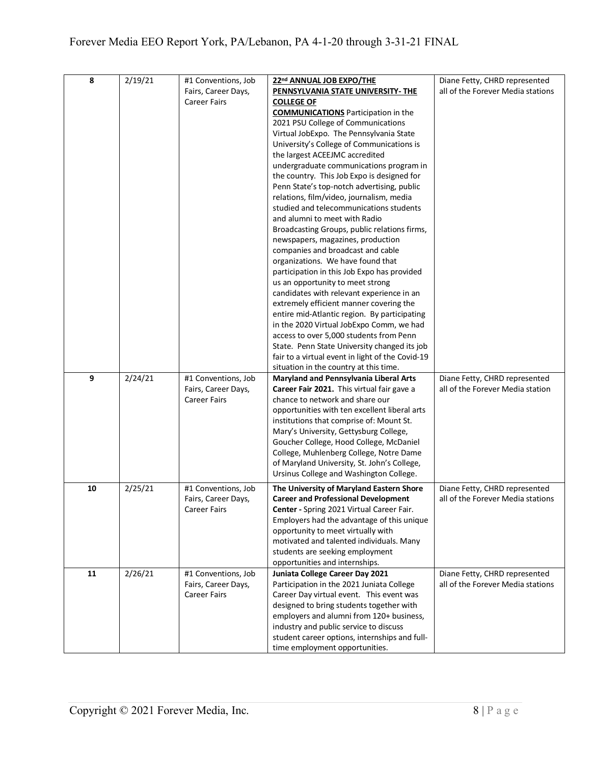| 8  | 2/19/21 | #1 Conventions, Job | 22nd ANNUAL JOB EXPO/THE                         | Diane Fetty, CHRD represented     |
|----|---------|---------------------|--------------------------------------------------|-----------------------------------|
|    |         | Fairs, Career Days, | PENNSYLVANIA STATE UNIVERSITY- THE               | all of the Forever Media stations |
|    |         | <b>Career Fairs</b> | <b>COLLEGE OF</b>                                |                                   |
|    |         |                     | <b>COMMUNICATIONS</b> Participation in the       |                                   |
|    |         |                     | 2021 PSU College of Communications               |                                   |
|    |         |                     | Virtual JobExpo. The Pennsylvania State          |                                   |
|    |         |                     | University's College of Communications is        |                                   |
|    |         |                     | the largest ACEEJMC accredited                   |                                   |
|    |         |                     | undergraduate communications program in          |                                   |
|    |         |                     | the country. This Job Expo is designed for       |                                   |
|    |         |                     | Penn State's top-notch advertising, public       |                                   |
|    |         |                     | relations, film/video, journalism, media         |                                   |
|    |         |                     | studied and telecommunications students          |                                   |
|    |         |                     | and alumni to meet with Radio                    |                                   |
|    |         |                     | Broadcasting Groups, public relations firms,     |                                   |
|    |         |                     | newspapers, magazines, production                |                                   |
|    |         |                     | companies and broadcast and cable                |                                   |
|    |         |                     | organizations. We have found that                |                                   |
|    |         |                     | participation in this Job Expo has provided      |                                   |
|    |         |                     | us an opportunity to meet strong                 |                                   |
|    |         |                     | candidates with relevant experience in an        |                                   |
|    |         |                     | extremely efficient manner covering the          |                                   |
|    |         |                     | entire mid-Atlantic region. By participating     |                                   |
|    |         |                     | in the 2020 Virtual JobExpo Comm, we had         |                                   |
|    |         |                     | access to over 5,000 students from Penn          |                                   |
|    |         |                     | State. Penn State University changed its job     |                                   |
|    |         |                     | fair to a virtual event in light of the Covid-19 |                                   |
|    |         |                     | situation in the country at this time.           |                                   |
| 9  | 2/24/21 | #1 Conventions, Job | Maryland and Pennsylvania Liberal Arts           | Diane Fetty, CHRD represented     |
|    |         | Fairs, Career Days, | Career Fair 2021. This virtual fair gave a       | all of the Forever Media station  |
|    |         | <b>Career Fairs</b> | chance to network and share our                  |                                   |
|    |         |                     | opportunities with ten excellent liberal arts    |                                   |
|    |         |                     | institutions that comprise of: Mount St.         |                                   |
|    |         |                     | Mary's University, Gettysburg College,           |                                   |
|    |         |                     | Goucher College, Hood College, McDaniel          |                                   |
|    |         |                     | College, Muhlenberg College, Notre Dame          |                                   |
|    |         |                     | of Maryland University, St. John's College,      |                                   |
|    |         |                     | Ursinus College and Washington College.          |                                   |
| 10 | 2/25/21 | #1 Conventions, Job | The University of Maryland Eastern Shore         | Diane Fetty, CHRD represented     |
|    |         | Fairs, Career Days, | <b>Career and Professional Development</b>       | all of the Forever Media stations |
|    |         | <b>Career Fairs</b> | Center - Spring 2021 Virtual Career Fair.        |                                   |
|    |         |                     | Employers had the advantage of this unique       |                                   |
|    |         |                     | opportunity to meet virtually with               |                                   |
|    |         |                     | motivated and talented individuals. Many         |                                   |
|    |         |                     | students are seeking employment                  |                                   |
|    |         |                     | opportunities and internships.                   |                                   |
| 11 | 2/26/21 | #1 Conventions, Job | Juniata College Career Day 2021                  | Diane Fetty, CHRD represented     |
|    |         | Fairs, Career Days, | Participation in the 2021 Juniata College        | all of the Forever Media stations |
|    |         | <b>Career Fairs</b> | Career Day virtual event. This event was         |                                   |
|    |         |                     | designed to bring students together with         |                                   |
|    |         |                     | employers and alumni from 120+ business,         |                                   |
|    |         |                     | industry and public service to discuss           |                                   |
|    |         |                     | student career options, internships and full-    |                                   |
|    |         |                     | time employment opportunities.                   |                                   |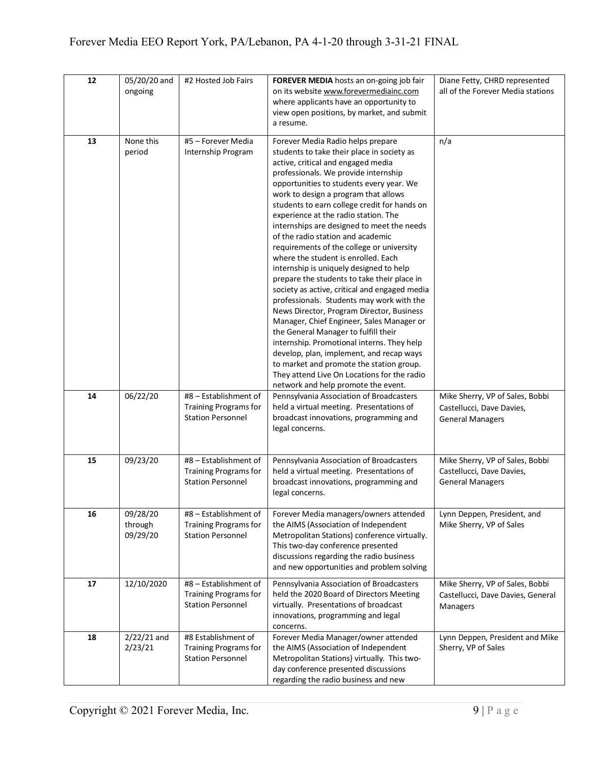| 12 | 05/20/20 and<br>ongoing         | #2 Hosted Job Fairs                                                               | FOREVER MEDIA hosts an on-going job fair<br>on its website www.forevermediainc.com<br>where applicants have an opportunity to<br>view open positions, by market, and submit<br>a resume.                                                                                                                                                                                                                                                                                                                                                                                                                                                                                                                                                                                                                                                                                                                                                                                                                                                                               | Diane Fetty, CHRD represented<br>all of the Forever Media stations                      |
|----|---------------------------------|-----------------------------------------------------------------------------------|------------------------------------------------------------------------------------------------------------------------------------------------------------------------------------------------------------------------------------------------------------------------------------------------------------------------------------------------------------------------------------------------------------------------------------------------------------------------------------------------------------------------------------------------------------------------------------------------------------------------------------------------------------------------------------------------------------------------------------------------------------------------------------------------------------------------------------------------------------------------------------------------------------------------------------------------------------------------------------------------------------------------------------------------------------------------|-----------------------------------------------------------------------------------------|
| 13 | None this<br>period             | #5 - Forever Media<br>Internship Program                                          | Forever Media Radio helps prepare<br>students to take their place in society as<br>active, critical and engaged media<br>professionals. We provide internship<br>opportunities to students every year. We<br>work to design a program that allows<br>students to earn college credit for hands on<br>experience at the radio station. The<br>internships are designed to meet the needs<br>of the radio station and academic<br>requirements of the college or university<br>where the student is enrolled. Each<br>internship is uniquely designed to help<br>prepare the students to take their place in<br>society as active, critical and engaged media<br>professionals. Students may work with the<br>News Director, Program Director, Business<br>Manager, Chief Engineer, Sales Manager or<br>the General Manager to fulfill their<br>internship. Promotional interns. They help<br>develop, plan, implement, and recap ways<br>to market and promote the station group.<br>They attend Live On Locations for the radio<br>network and help promote the event. | n/a                                                                                     |
| 14 | 06/22/20                        | #8 - Establishment of<br><b>Training Programs for</b><br><b>Station Personnel</b> | Pennsylvania Association of Broadcasters<br>held a virtual meeting. Presentations of<br>broadcast innovations, programming and<br>legal concerns.                                                                                                                                                                                                                                                                                                                                                                                                                                                                                                                                                                                                                                                                                                                                                                                                                                                                                                                      | Mike Sherry, VP of Sales, Bobbi<br>Castellucci, Dave Davies,<br><b>General Managers</b> |
| 15 | 09/23/20                        | #8 - Establishment of<br><b>Training Programs for</b><br><b>Station Personnel</b> | Pennsylvania Association of Broadcasters<br>held a virtual meeting. Presentations of<br>broadcast innovations, programming and<br>legal concerns.                                                                                                                                                                                                                                                                                                                                                                                                                                                                                                                                                                                                                                                                                                                                                                                                                                                                                                                      | Mike Sherry, VP of Sales, Bobbi<br>Castellucci, Dave Davies,<br><b>General Managers</b> |
| 16 | 09/28/20<br>through<br>09/29/20 | #8 - Establishment of<br><b>Training Programs for</b><br><b>Station Personnel</b> | Forever Media managers/owners attended<br>the AIMS (Association of Independent<br>Metropolitan Stations) conference virtually.<br>This two-day conference presented<br>discussions regarding the radio business<br>and new opportunities and problem solving                                                                                                                                                                                                                                                                                                                                                                                                                                                                                                                                                                                                                                                                                                                                                                                                           | Lynn Deppen, President, and<br>Mike Sherry, VP of Sales                                 |
| 17 | 12/10/2020                      | #8 - Establishment of<br><b>Training Programs for</b><br><b>Station Personnel</b> | Pennsylvania Association of Broadcasters<br>held the 2020 Board of Directors Meeting<br>virtually. Presentations of broadcast<br>innovations, programming and legal<br>concerns.                                                                                                                                                                                                                                                                                                                                                                                                                                                                                                                                                                                                                                                                                                                                                                                                                                                                                       | Mike Sherry, VP of Sales, Bobbi<br>Castellucci, Dave Davies, General<br>Managers        |
| 18 | $2/22/21$ and<br>2/23/21        | #8 Establishment of<br><b>Training Programs for</b><br><b>Station Personnel</b>   | Forever Media Manager/owner attended<br>the AIMS (Association of Independent<br>Metropolitan Stations) virtually. This two-<br>day conference presented discussions<br>regarding the radio business and new                                                                                                                                                                                                                                                                                                                                                                                                                                                                                                                                                                                                                                                                                                                                                                                                                                                            | Lynn Deppen, President and Mike<br>Sherry, VP of Sales                                  |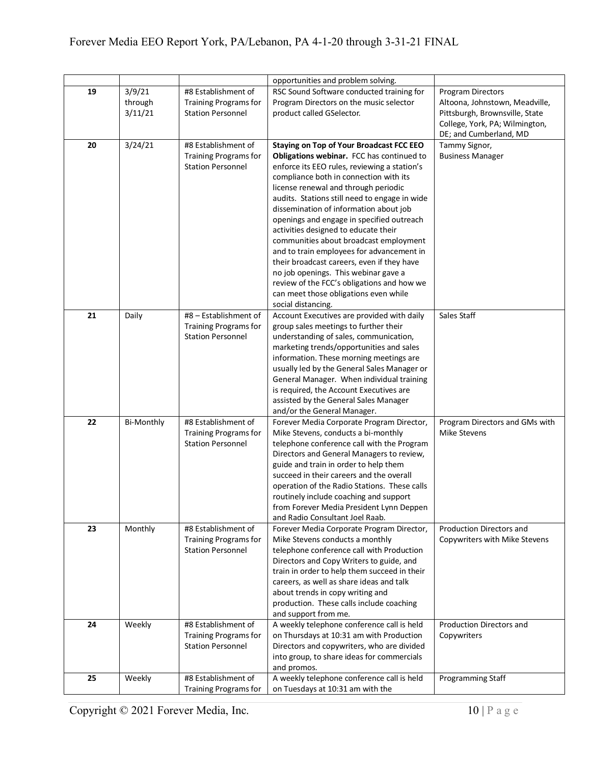|    |                              |                                                                                   | opportunities and problem solving.                                                                                                                                                                                                                                                                                                                                                                                                                                                                                                                                                                                                                                                 |                                                                                                                                |
|----|------------------------------|-----------------------------------------------------------------------------------|------------------------------------------------------------------------------------------------------------------------------------------------------------------------------------------------------------------------------------------------------------------------------------------------------------------------------------------------------------------------------------------------------------------------------------------------------------------------------------------------------------------------------------------------------------------------------------------------------------------------------------------------------------------------------------|--------------------------------------------------------------------------------------------------------------------------------|
| 19 | 3/9/21<br>through<br>3/11/21 | #8 Establishment of<br><b>Training Programs for</b><br><b>Station Personnel</b>   | RSC Sound Software conducted training for<br>Program Directors on the music selector<br>product called GSelector.                                                                                                                                                                                                                                                                                                                                                                                                                                                                                                                                                                  | <b>Program Directors</b><br>Altoona, Johnstown, Meadville,<br>Pittsburgh, Brownsville, State<br>College, York, PA; Wilmington, |
|    |                              |                                                                                   |                                                                                                                                                                                                                                                                                                                                                                                                                                                                                                                                                                                                                                                                                    | DE; and Cumberland, MD                                                                                                         |
| 20 | 3/24/21                      | #8 Establishment of<br><b>Training Programs for</b><br><b>Station Personnel</b>   | <b>Staying on Top of Your Broadcast FCC EEO</b><br>Obligations webinar. FCC has continued to<br>enforce its EEO rules, reviewing a station's<br>compliance both in connection with its<br>license renewal and through periodic<br>audits. Stations still need to engage in wide<br>dissemination of information about job<br>openings and engage in specified outreach<br>activities designed to educate their<br>communities about broadcast employment<br>and to train employees for advancement in<br>their broadcast careers, even if they have<br>no job openings. This webinar gave a<br>review of the FCC's obligations and how we<br>can meet those obligations even while | Tammy Signor,<br><b>Business Manager</b>                                                                                       |
|    |                              |                                                                                   | social distancing.                                                                                                                                                                                                                                                                                                                                                                                                                                                                                                                                                                                                                                                                 |                                                                                                                                |
| 21 | Daily                        | #8 - Establishment of<br><b>Training Programs for</b><br><b>Station Personnel</b> | Account Executives are provided with daily<br>group sales meetings to further their<br>understanding of sales, communication,<br>marketing trends/opportunities and sales<br>information. These morning meetings are<br>usually led by the General Sales Manager or<br>General Manager. When individual training<br>is required, the Account Executives are<br>assisted by the General Sales Manager<br>and/or the General Manager.                                                                                                                                                                                                                                                | Sales Staff                                                                                                                    |
| 22 | <b>Bi-Monthly</b>            | #8 Establishment of<br><b>Training Programs for</b><br><b>Station Personnel</b>   | Forever Media Corporate Program Director,<br>Mike Stevens, conducts a bi-monthly<br>telephone conference call with the Program<br>Directors and General Managers to review,<br>guide and train in order to help them<br>succeed in their careers and the overall<br>operation of the Radio Stations. These calls<br>routinely include coaching and support<br>from Forever Media President Lynn Deppen<br>and Radio Consultant Joel Raab.                                                                                                                                                                                                                                          | Program Directors and GMs with<br>Mike Stevens                                                                                 |
| 23 | Monthly                      | #8 Establishment of<br><b>Training Programs for</b><br><b>Station Personnel</b>   | Forever Media Corporate Program Director,<br>Mike Stevens conducts a monthly<br>telephone conference call with Production<br>Directors and Copy Writers to guide, and<br>train in order to help them succeed in their<br>careers, as well as share ideas and talk<br>about trends in copy writing and<br>production. These calls include coaching<br>and support from me.                                                                                                                                                                                                                                                                                                          | Production Directors and<br>Copywriters with Mike Stevens                                                                      |
| 24 | Weekly                       | #8 Establishment of<br><b>Training Programs for</b><br><b>Station Personnel</b>   | A weekly telephone conference call is held<br>on Thursdays at 10:31 am with Production<br>Directors and copywriters, who are divided<br>into group, to share ideas for commercials<br>and promos.                                                                                                                                                                                                                                                                                                                                                                                                                                                                                  | Production Directors and<br>Copywriters                                                                                        |
| 25 | Weekly                       | #8 Establishment of                                                               | A weekly telephone conference call is held                                                                                                                                                                                                                                                                                                                                                                                                                                                                                                                                                                                                                                         | Programming Staff                                                                                                              |
|    |                              | <b>Training Programs for</b>                                                      | on Tuesdays at 10:31 am with the                                                                                                                                                                                                                                                                                                                                                                                                                                                                                                                                                                                                                                                   |                                                                                                                                |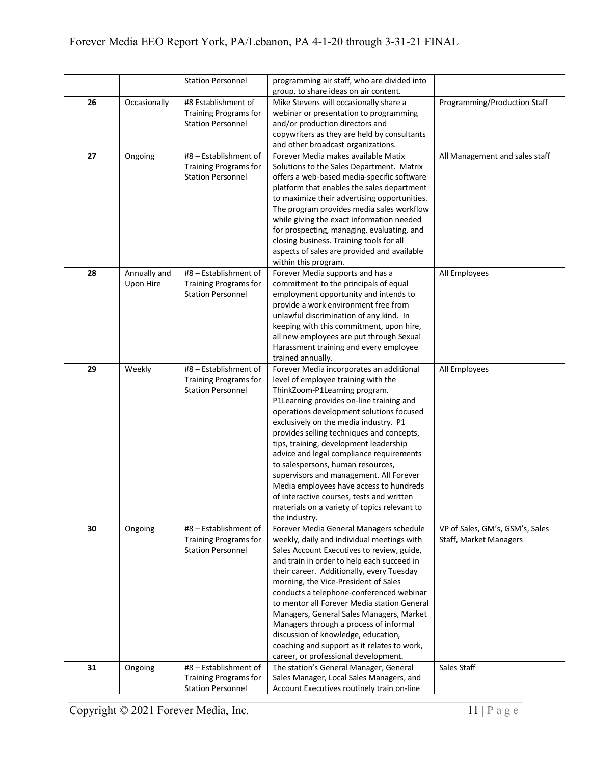|    |              | <b>Station Personnel</b>                              | programming air staff, who are divided into                                                |                                                           |
|----|--------------|-------------------------------------------------------|--------------------------------------------------------------------------------------------|-----------------------------------------------------------|
|    |              |                                                       | group, to share ideas on air content.                                                      |                                                           |
| 26 | Occasionally | #8 Establishment of                                   | Mike Stevens will occasionally share a                                                     | Programming/Production Staff                              |
|    |              | <b>Training Programs for</b>                          | webinar or presentation to programming                                                     |                                                           |
|    |              | <b>Station Personnel</b>                              | and/or production directors and                                                            |                                                           |
|    |              |                                                       | copywriters as they are held by consultants                                                |                                                           |
|    |              |                                                       | and other broadcast organizations.                                                         |                                                           |
| 27 | Ongoing      | #8 - Establishment of                                 | Forever Media makes available Matix                                                        | All Management and sales staff                            |
|    |              | <b>Training Programs for</b>                          | Solutions to the Sales Department. Matrix                                                  |                                                           |
|    |              | <b>Station Personnel</b>                              | offers a web-based media-specific software                                                 |                                                           |
|    |              |                                                       | platform that enables the sales department<br>to maximize their advertising opportunities. |                                                           |
|    |              |                                                       | The program provides media sales workflow                                                  |                                                           |
|    |              |                                                       | while giving the exact information needed                                                  |                                                           |
|    |              |                                                       | for prospecting, managing, evaluating, and                                                 |                                                           |
|    |              |                                                       | closing business. Training tools for all                                                   |                                                           |
|    |              |                                                       | aspects of sales are provided and available                                                |                                                           |
|    |              |                                                       | within this program.                                                                       |                                                           |
| 28 | Annually and | #8 - Establishment of                                 | Forever Media supports and has a                                                           | All Employees                                             |
|    | Upon Hire    | <b>Training Programs for</b>                          | commitment to the principals of equal                                                      |                                                           |
|    |              | <b>Station Personnel</b>                              | employment opportunity and intends to                                                      |                                                           |
|    |              |                                                       | provide a work environment free from                                                       |                                                           |
|    |              |                                                       | unlawful discrimination of any kind. In                                                    |                                                           |
|    |              |                                                       | keeping with this commitment, upon hire,                                                   |                                                           |
|    |              |                                                       | all new employees are put through Sexual                                                   |                                                           |
|    |              |                                                       | Harassment training and every employee                                                     |                                                           |
| 29 |              | #8 - Establishment of                                 | trained annually.                                                                          |                                                           |
|    | Weekly       | <b>Training Programs for</b>                          | Forever Media incorporates an additional<br>level of employee training with the            | All Employees                                             |
|    |              | <b>Station Personnel</b>                              | ThinkZoom-P1Learning program.                                                              |                                                           |
|    |              |                                                       | P1Learning provides on-line training and                                                   |                                                           |
|    |              |                                                       | operations development solutions focused                                                   |                                                           |
|    |              |                                                       | exclusively on the media industry. P1                                                      |                                                           |
|    |              |                                                       | provides selling techniques and concepts,                                                  |                                                           |
|    |              |                                                       | tips, training, development leadership                                                     |                                                           |
|    |              |                                                       | advice and legal compliance requirements                                                   |                                                           |
|    |              |                                                       | to salespersons, human resources,                                                          |                                                           |
|    |              |                                                       | supervisors and management. All Forever                                                    |                                                           |
|    |              |                                                       | Media employees have access to hundreds                                                    |                                                           |
|    |              |                                                       | of interactive courses, tests and written                                                  |                                                           |
|    |              |                                                       | materials on a variety of topics relevant to                                               |                                                           |
|    |              |                                                       | the industry.                                                                              |                                                           |
| 30 | Ongoing      | #8 - Establishment of<br><b>Training Programs for</b> | Forever Media General Managers schedule<br>weekly, daily and individual meetings with      | VP of Sales, GM's, GSM's, Sales<br>Staff, Market Managers |
|    |              | <b>Station Personnel</b>                              | Sales Account Executives to review, guide,                                                 |                                                           |
|    |              |                                                       | and train in order to help each succeed in                                                 |                                                           |
|    |              |                                                       | their career. Additionally, every Tuesday                                                  |                                                           |
|    |              |                                                       | morning, the Vice-President of Sales                                                       |                                                           |
|    |              |                                                       | conducts a telephone-conferenced webinar                                                   |                                                           |
|    |              |                                                       | to mentor all Forever Media station General                                                |                                                           |
|    |              |                                                       | Managers, General Sales Managers, Market                                                   |                                                           |
|    |              |                                                       | Managers through a process of informal                                                     |                                                           |
|    |              |                                                       | discussion of knowledge, education,                                                        |                                                           |
|    |              |                                                       | coaching and support as it relates to work,                                                |                                                           |
|    |              |                                                       | career, or professional development.                                                       |                                                           |
| 31 | Ongoing      | #8 - Establishment of                                 | The station's General Manager, General                                                     | Sales Staff                                               |
|    |              | <b>Training Programs for</b>                          | Sales Manager, Local Sales Managers, and                                                   |                                                           |
|    |              | <b>Station Personnel</b>                              | Account Executives routinely train on-line                                                 |                                                           |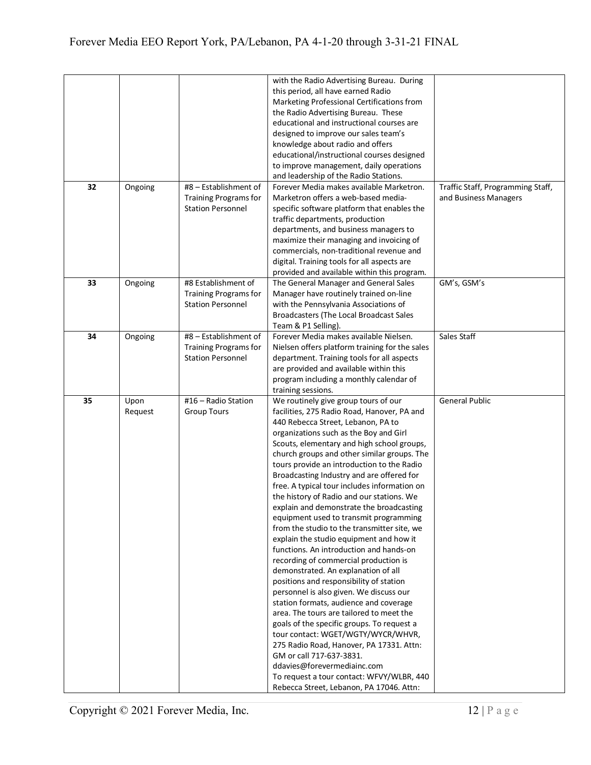|    |         |                              | with the Radio Advertising Bureau. During      |                                   |
|----|---------|------------------------------|------------------------------------------------|-----------------------------------|
|    |         |                              | this period, all have earned Radio             |                                   |
|    |         |                              | Marketing Professional Certifications from     |                                   |
|    |         |                              | the Radio Advertising Bureau. These            |                                   |
|    |         |                              | educational and instructional courses are      |                                   |
|    |         |                              | designed to improve our sales team's           |                                   |
|    |         |                              | knowledge about radio and offers               |                                   |
|    |         |                              | educational/instructional courses designed     |                                   |
|    |         |                              | to improve management, daily operations        |                                   |
|    |         |                              | and leadership of the Radio Stations.          |                                   |
| 32 | Ongoing | #8 - Establishment of        | Forever Media makes available Marketron.       | Traffic Staff, Programming Staff, |
|    |         | <b>Training Programs for</b> | Marketron offers a web-based media-            | and Business Managers             |
|    |         | <b>Station Personnel</b>     | specific software platform that enables the    |                                   |
|    |         |                              | traffic departments, production                |                                   |
|    |         |                              | departments, and business managers to          |                                   |
|    |         |                              | maximize their managing and invoicing of       |                                   |
|    |         |                              | commercials, non-traditional revenue and       |                                   |
|    |         |                              | digital. Training tools for all aspects are    |                                   |
|    |         |                              | provided and available within this program.    |                                   |
| 33 | Ongoing | #8 Establishment of          | The General Manager and General Sales          | GM's, GSM's                       |
|    |         | <b>Training Programs for</b> | Manager have routinely trained on-line         |                                   |
|    |         | <b>Station Personnel</b>     | with the Pennsylvania Associations of          |                                   |
|    |         |                              | Broadcasters (The Local Broadcast Sales        |                                   |
|    |         |                              | Team & P1 Selling).                            |                                   |
| 34 | Ongoing | #8 - Establishment of        | Forever Media makes available Nielsen.         | Sales Staff                       |
|    |         | <b>Training Programs for</b> | Nielsen offers platform training for the sales |                                   |
|    |         | <b>Station Personnel</b>     | department. Training tools for all aspects     |                                   |
|    |         |                              | are provided and available within this         |                                   |
|    |         |                              | program including a monthly calendar of        |                                   |
|    |         |                              | training sessions.                             |                                   |
| 35 | Upon    | #16 - Radio Station          | We routinely give group tours of our           | <b>General Public</b>             |
|    | Request | <b>Group Tours</b>           | facilities, 275 Radio Road, Hanover, PA and    |                                   |
|    |         |                              | 440 Rebecca Street, Lebanon, PA to             |                                   |
|    |         |                              | organizations such as the Boy and Girl         |                                   |
|    |         |                              | Scouts, elementary and high school groups,     |                                   |
|    |         |                              | church groups and other similar groups. The    |                                   |
|    |         |                              | tours provide an introduction to the Radio     |                                   |
|    |         |                              | Broadcasting Industry and are offered for      |                                   |
|    |         |                              | free. A typical tour includes information on   |                                   |
|    |         |                              | the history of Radio and our stations. We      |                                   |
|    |         |                              | explain and demonstrate the broadcasting       |                                   |
|    |         |                              | equipment used to transmit programming         |                                   |
|    |         |                              | from the studio to the transmitter site, we    |                                   |
|    |         |                              | explain the studio equipment and how it        |                                   |
|    |         |                              | functions. An introduction and hands-on        |                                   |
|    |         |                              | recording of commercial production is          |                                   |
|    |         |                              | demonstrated. An explanation of all            |                                   |
|    |         |                              | positions and responsibility of station        |                                   |
|    |         |                              | personnel is also given. We discuss our        |                                   |
|    |         |                              | station formats, audience and coverage         |                                   |
|    |         |                              | area. The tours are tailored to meet the       |                                   |
|    |         |                              | goals of the specific groups. To request a     |                                   |
|    |         |                              | tour contact: WGET/WGTY/WYCR/WHVR,             |                                   |
|    |         |                              | 275 Radio Road, Hanover, PA 17331. Attn:       |                                   |
|    |         |                              |                                                |                                   |
|    |         |                              | GM or call 717-637-3831.                       |                                   |
|    |         |                              | ddavies@forevermediainc.com                    |                                   |
|    |         |                              | To request a tour contact: WFVY/WLBR, 440      |                                   |